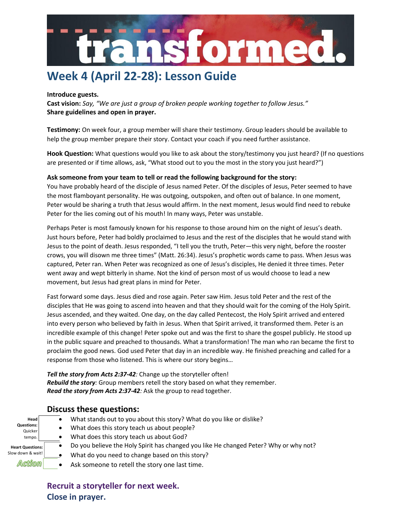

#### **Introduce guests.**

**Cast vision:** *Say, "We are just a group of broken people working together to follow Jesus."* **Share guidelines and open in prayer.**

**Testimony:** On week four, a group member will share their testimony. Group leaders should be available to help the group member prepare their story. Contact your coach if you need further assistance.

**Hook Question:** What questions would you like to ask about the story/testimony you just heard? (If no questions are presented or if time allows, ask, "What stood out to you the most in the story you just heard?")

### **Ask someone from your team to tell or read the following background for the story:**

You have probably heard of the disciple of Jesus named Peter. Of the disciples of Jesus, Peter seemed to have the most flamboyant personality. He was outgoing, outspoken, and often out of balance. In one moment, Peter would be sharing a truth that Jesus would affirm. In the next moment, Jesus would find need to rebuke Peter for the lies coming out of his mouth! In many ways, Peter was unstable.

Perhaps Peter is most famously known for his response to those around him on the night of Jesus's death. Just hours before, Peter had boldly proclaimed to Jesus and the rest of the disciples that he would stand with Jesus to the point of death. Jesus responded, "I tell you the truth, Peter—this very night, before the rooster crows, you will disown me three times" (Matt. 26:34). Jesus's prophetic words came to pass. When Jesus was captured, Peter ran. When Peter was recognized as one of Jesus's disciples, He denied it three times. Peter went away and wept bitterly in shame. Not the kind of person most of us would choose to lead a new movement, but Jesus had great plans in mind for Peter.

Fast forward some days. Jesus died and rose again. Peter saw Him. Jesus told Peter and the rest of the disciples that He was going to ascend into heaven and that they should wait for the coming of the Holy Spirit. Jesus ascended, and they waited. One day, on the day called Pentecost, the Holy Spirit arrived and entered into every person who believed by faith in Jesus. When that Spirit arrived, it transformed them. Peter is an incredible example of this change! Peter spoke out and was the first to share the gospel publicly. He stood up in the public square and preached to thousands. What a transformation! The man who ran became the first to proclaim the good news. God used Peter that day in an incredible way. He finished preaching and called for a response from those who listened. This is where our story begins…

*Tell the story from Acts 2:37-42:* Change up the storyteller often! *Rebuild the story:* Group members retell the story based on what they remember. *Read the story from Acts 2:37-42:* Ask the group to read together.

## **Discuss these questions:**

- **Head Questions: Quicker** tempo. **Heart Questions:**  Slow down & wait! Action
- What stands out to you about this story? What do you like or dislike?
	- What does this story teach us about people?
		- What does this story teach us about God?
	- Do you believe the Holy Spirit has changed you like He changed Peter? Why or why not?
		- What do you need to change based on this story?
		- Ask someone to retell the story one last time.

**Recruit a storyteller for next week. Close in prayer.**